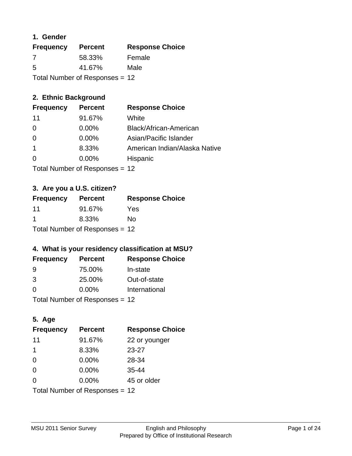## **1. Gender**

| <b>Frequency</b>                 | <b>Percent</b> | <b>Response Choice</b> |
|----------------------------------|----------------|------------------------|
| 7                                | 58.33%         | Female                 |
| 5                                | 41.67%         | Male                   |
| Total Number of Responses = $12$ |                |                        |

## **2. Ethnic Background**

| <b>Frequency</b> | <b>Percent</b> | <b>Response Choice</b>        |
|------------------|----------------|-------------------------------|
| 11               | 91.67%         | White                         |
| $\Omega$         | $0.00\%$       | Black/African-American        |
| $\Omega$         | $0.00\%$       | Asian/Pacific Islander        |
|                  | 8.33%          | American Indian/Alaska Native |
|                  | 0.00%          | Hispanic                      |
|                  |                |                               |

Total Number of Responses = 12

## **3. Are you a U.S. citizen?**

| <b>Frequency</b>               | <b>Percent</b> | <b>Response Choice</b> |
|--------------------------------|----------------|------------------------|
| 11                             | 91.67%         | Yes                    |
| -1                             | 8.33%          | No                     |
| Total Number of Responses = 12 |                |                        |

## **4. What is your residency classification at MSU?**

| <b>Frequency</b> | <b>Percent</b> | <b>Response Choice</b> |
|------------------|----------------|------------------------|
| 9                | 75.00%         | In-state               |
| 3                | 25.00%         | Out-of-state           |
| $\Omega$         | $0.00\%$       | International          |
|                  |                |                        |

Total Number of Responses = 12

## **5. Age**

| <b>Frequency</b>               | <b>Percent</b> | <b>Response Choice</b> |
|--------------------------------|----------------|------------------------|
| 11                             | 91.67%         | 22 or younger          |
| 1                              | 8.33%          | $23 - 27$              |
| $\overline{0}$                 | 0.00%          | 28-34                  |
| $\Omega$                       | 0.00%          | $35 - 44$              |
| $\Omega$                       | 0.00%          | 45 or older            |
| Total Number of Responses = 12 |                |                        |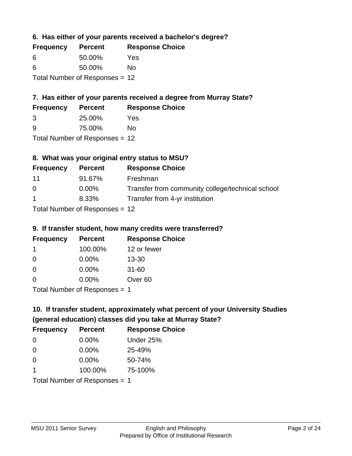**6. Has either of your parents received a bachelor's degree?**

| <b>Frequency</b> | <b>Percent</b>                   | <b>Response Choice</b> |
|------------------|----------------------------------|------------------------|
| 6                | 50.00%                           | Yes                    |
| 6                | 50.00%                           | Nο                     |
|                  | Total Number of Responses $= 12$ |                        |

## **7. Has either of your parents received a degree from Murray State?**

| <b>Frequency</b> | <b>Percent</b> | <b>Response Choice</b> |
|------------------|----------------|------------------------|
| -3               | 25.00%         | Yes                    |
| -9               | 75.00%         | No                     |

Total Number of Responses = 12

## **8. What was your original entry status to MSU?**

| <b>Frequency</b>     | <b>Percent</b>                    | <b>Response Choice</b>                           |
|----------------------|-----------------------------------|--------------------------------------------------|
| -11                  | 91.67%                            | Freshman                                         |
| $\Omega$             | $0.00\%$                          | Transfer from community college/technical school |
| $\blacktriangleleft$ | 8.33%                             | Transfer from 4-yr institution                   |
|                      | $Total Number of DoEROR 202 - 42$ |                                                  |

Total Number of Responses = 12

## **9. If transfer student, how many credits were transferred?**

| <b>Frequency</b>              | <b>Percent</b> | <b>Response Choice</b> |
|-------------------------------|----------------|------------------------|
| 1                             | 100.00%        | 12 or fewer            |
| 0                             | $0.00\%$       | $13 - 30$              |
| 0                             | $0.00\%$       | $31 - 60$              |
| $\Omega$                      | $0.00\%$       | Over <sub>60</sub>     |
| $Total Number of Denonce = 4$ |                |                        |

Total Number of Responses = 1

## **10. If transfer student, approximately what percent of your University Studies (general education) classes did you take at Murray State?**

| <b>Frequency</b>              | <b>Percent</b> | <b>Response Choice</b> |
|-------------------------------|----------------|------------------------|
| $\Omega$                      | $0.00\%$       | Under 25%              |
| $\Omega$                      | 0.00%          | 25-49%                 |
| $\Omega$                      | $0.00\%$       | 50-74%                 |
| 1                             | 100.00%        | 75-100%                |
| Total Number of Responses = 1 |                |                        |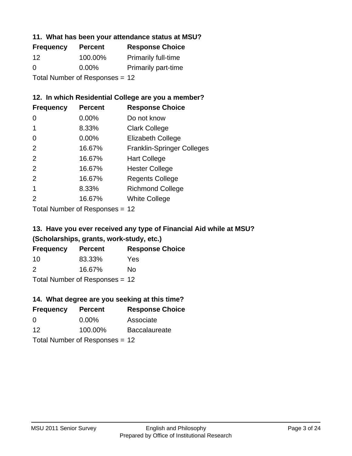## **11. What has been your attendance status at MSU?**

| <b>Frequency</b>               | <b>Percent</b> | <b>Response Choice</b>     |
|--------------------------------|----------------|----------------------------|
| 12                             | 100.00%        | <b>Primarily full-time</b> |
| 0                              | $0.00\%$       | <b>Primarily part-time</b> |
| Total Number of Responses = 12 |                |                            |

## **12. In which Residential College are you a member?**

| <b>Frequency</b> | <b>Percent</b> | <b>Response Choice</b>            |
|------------------|----------------|-----------------------------------|
| 0                | 0.00%          | Do not know                       |
|                  | 8.33%          | <b>Clark College</b>              |
| 0                | 0.00%          | <b>Elizabeth College</b>          |
| 2                | 16.67%         | <b>Franklin-Springer Colleges</b> |
| 2                | 16.67%         | <b>Hart College</b>               |
| 2                | 16.67%         | <b>Hester College</b>             |
| 2                | 16.67%         | <b>Regents College</b>            |
|                  | 8.33%          | <b>Richmond College</b>           |
| 2                | 16.67%         | <b>White College</b>              |
|                  |                |                                   |

Total Number of Responses = 12

## **13. Have you ever received any type of Financial Aid while at MSU? (Scholarships, grants, work-study, etc.)**

| <b>Frequency</b> | <b>Percent</b>            | <b>Response Choice</b> |
|------------------|---------------------------|------------------------|
| 10               | 83.33%                    | Yes                    |
| $\mathcal{P}$    | 16.67%                    | Nο                     |
|                  | Total Number of Deepersee |                        |

Total Number of Responses = 12

## **14. What degree are you seeking at this time?**

| <b>Frequency</b> | <b>Percent</b>                 | <b>Response Choice</b> |
|------------------|--------------------------------|------------------------|
| 0                | $0.00\%$                       | Associate              |
| 12               | 100.00%                        | <b>Baccalaureate</b>   |
|                  | Total Number of Responses = 12 |                        |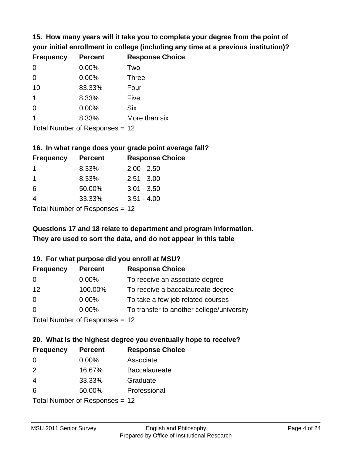**15. How many years will it take you to complete your degree from the point of your initial enrollment in college (including any time at a previous institution)?**

| <b>Frequency</b> | <b>Percent</b> | <b>Response Choice</b> |
|------------------|----------------|------------------------|
| 0                | 0.00%          | Two                    |
| $\Omega$         | 0.00%          | <b>Three</b>           |
| 10               | 83.33%         | Four                   |
| 1                | 8.33%          | Five                   |
| $\Omega$         | 0.00%          | <b>Six</b>             |
|                  | 8.33%          | More than six          |
|                  |                |                        |

Total Number of Responses = 12

#### **16. In what range does your grade point average fall?**

| <b>Frequency</b> | <b>Percent</b> | <b>Response Choice</b> |
|------------------|----------------|------------------------|
|                  | 8.33%          | $2.00 - 2.50$          |
|                  | 8.33%          | $2.51 - 3.00$          |
| 6                | 50.00%         | $3.01 - 3.50$          |
|                  | 33.33%         | $3.51 - 4.00$          |
|                  |                |                        |

Total Number of Responses = 12

## **They are used to sort the data, and do not appear in this table Questions 17 and 18 relate to department and program information.**

#### **19. For what purpose did you enroll at MSU?**

| <b>Frequency</b> | <b>Percent</b>                 | <b>Response Choice</b>                    |
|------------------|--------------------------------|-------------------------------------------|
| 0                | $0.00\%$                       | To receive an associate degree            |
| 12               | 100.00%                        | To receive a baccalaureate degree         |
| 0                | $0.00\%$                       | To take a few job related courses         |
| $\Omega$         | $0.00\%$                       | To transfer to another college/university |
|                  | Total Number of Reconcese - 12 |                                           |

Total Number of Responses = 12

# **20. What is the highest degree you eventually hope to receive?**

| <b>Frequency</b>          | <b>Percent</b> | <b>Response Choice</b> |
|---------------------------|----------------|------------------------|
| 0                         | $0.00\%$       | Associate              |
| 2                         | 16.67%         | <b>Baccalaureate</b>   |
| 4                         | 33.33%         | Graduate               |
| 6                         | 50.00%         | Professional           |
| Total Number of Despanses |                |                        |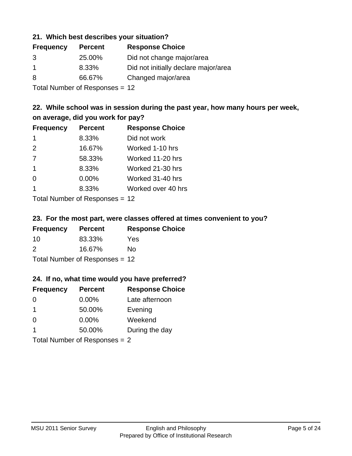#### **21. Which best describes your situation?**

| <b>Frequency</b> | <b>Percent</b> | <b>Response Choice</b>               |
|------------------|----------------|--------------------------------------|
| 3                | 25.00%         | Did not change major/area            |
|                  | 8.33%          | Did not initially declare major/area |
| 8                | 66.67%         | Changed major/area                   |
|                  |                |                                      |

Total Number of Responses = 12

## **22. While school was in session during the past year, how many hours per week, on average, did you work for pay?**

| <b>Frequency</b> | <b>Percent</b> | <b>Response Choice</b> |
|------------------|----------------|------------------------|
| -1               | 8.33%          | Did not work           |
| 2                | 16.67%         | Worked 1-10 hrs        |
| 7                | 58.33%         | Worked 11-20 hrs       |
| $\mathbf 1$      | 8.33%          | Worked 21-30 hrs       |
| $\Omega$         | 0.00%          | Worked 31-40 hrs       |
|                  | 8.33%          | Worked over 40 hrs     |
|                  |                |                        |

Total Number of Responses = 12

#### **23. For the most part, were classes offered at times convenient to you?**

| <b>Frequency</b>               | <b>Percent</b> | <b>Response Choice</b> |  |
|--------------------------------|----------------|------------------------|--|
| 10                             | 83.33%         | Yes                    |  |
| $\mathcal{P}$                  | 16.67%         | No.                    |  |
| Total Number of Responses = 12 |                |                        |  |

## **24. If no, what time would you have preferred?**

| <b>Frequency</b> | <b>Percent</b>                  | <b>Response Choice</b> |
|------------------|---------------------------------|------------------------|
| $\Omega$         | $0.00\%$                        | Late afternoon         |
| $\mathbf 1$      | 50.00%                          | Evening                |
| $\Omega$         | $0.00\%$                        | Weekend                |
| -1               | 50.00%                          | During the day         |
|                  | Total Number of Responses $= 2$ |                        |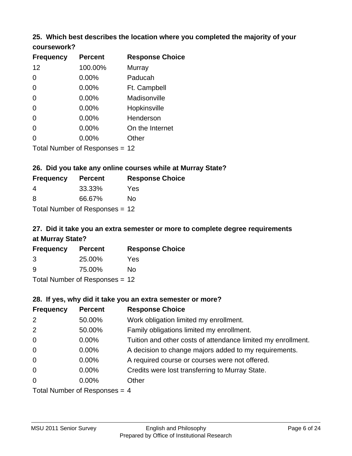# **25. Which best describes the location where you completed the majority of your**

| coursework? |
|-------------|
|-------------|

| <b>Frequency</b> | <b>Percent</b>                 | <b>Response Choice</b> |
|------------------|--------------------------------|------------------------|
| 12               | 100.00%                        | Murray                 |
| 0                | 0.00%                          | Paducah                |
| 0                | 0.00%                          | Ft. Campbell           |
| 0                | 0.00%                          | Madisonville           |
| 0                | 0.00%                          | Hopkinsville           |
| 0                | $0.00\%$                       | Henderson              |
| 0                | 0.00%                          | On the Internet        |
| 0                | 0.00%                          | Other                  |
|                  | Total Number of Responses = 12 |                        |

## **26. Did you take any online courses while at Murray State?**

| <b>Frequency</b> | <b>Percent</b>                   | <b>Response Choice</b> |
|------------------|----------------------------------|------------------------|
| -4               | 33.33%                           | Yes                    |
| -8               | 66.67%                           | No.                    |
|                  | Total Number of Responses = $12$ |                        |

## **27. Did it take you an extra semester or more to complete degree requirements at Murray State?**

| <b>Frequency</b> | <b>Percent</b>                   | <b>Response Choice</b> |
|------------------|----------------------------------|------------------------|
| 3                | 25.00%                           | Yes                    |
| 9                | 75.00%                           | No                     |
|                  | Total Number of Responses = $12$ |                        |

#### **28. If yes, why did it take you an extra semester or more?**

| <b>Frequency</b> | <b>Percent</b>                  | <b>Response Choice</b>                                       |
|------------------|---------------------------------|--------------------------------------------------------------|
| $\overline{2}$   | 50.00%                          | Work obligation limited my enrollment.                       |
| 2                | 50.00%                          | Family obligations limited my enrollment.                    |
| $\mathbf 0$      | $0.00\%$                        | Tuition and other costs of attendance limited my enrollment. |
| $\overline{0}$   | $0.00\%$                        | A decision to change majors added to my requirements.        |
| $\mathbf 0$      | $0.00\%$                        | A required course or courses were not offered.               |
| $\mathbf 0$      | $0.00\%$                        | Credits were lost transferring to Murray State.              |
| $\overline{0}$   | $0.00\%$                        | Other                                                        |
|                  | Total Number of Responses $-$ 1 |                                                              |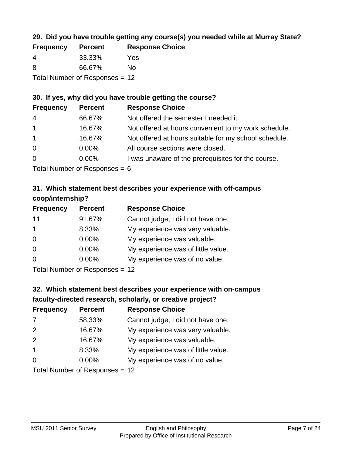## **29. Did you have trouble getting any course(s) you needed while at Murray State?**

| <b>Frequency</b>               | <b>Percent</b> | <b>Response Choice</b> |  |
|--------------------------------|----------------|------------------------|--|
| -4                             | 33.33%         | Yes                    |  |
| -8                             | 66.67%         | N٥                     |  |
| Total Number of Responses = 12 |                |                        |  |

## **30. If yes, why did you have trouble getting the course?**

| <b>Frequency</b> | <b>Percent</b> | <b>Response Choice</b>                                |
|------------------|----------------|-------------------------------------------------------|
| $\overline{4}$   | 66.67%         | Not offered the semester I needed it.                 |
| $\mathbf{1}$     | 16.67%         | Not offered at hours convenient to my work schedule.  |
| $\overline{1}$   | 16.67%         | Not offered at hours suitable for my school schedule. |
| $\overline{0}$   | $0.00\%$       | All course sections were closed.                      |
| $\overline{0}$   | $0.00\%$       | I was unaware of the prerequisites for the course.    |
|                  |                |                                                       |

Total Number of Responses  $= 6$ 

## **31. Which statement best describes your experience with off-campus coop/internship?**

| <b>Frequency</b>     | <b>Percent</b> | <b>Response Choice</b>             |
|----------------------|----------------|------------------------------------|
| 11                   | 91.67%         | Cannot judge, I did not have one.  |
| $\blacktriangleleft$ | 8.33%          | My experience was very valuable.   |
| $\Omega$             | 0.00%          | My experience was valuable.        |
| $\Omega$             | 0.00%          | My experience was of little value. |
| $\Omega$             | 0.00%          | My experience was of no value.     |
|                      |                |                                    |

Total Number of Responses = 12

## **32. Which statement best describes your experience with on-campus faculty-directed research, scholarly, or creative project?**

| <b>Frequency</b> | <b>Percent</b>               | <b>Response Choice</b>             |
|------------------|------------------------------|------------------------------------|
| 7                | 58.33%                       | Cannot judge; I did not have one.  |
| 2                | 16.67%                       | My experience was very valuable.   |
| 2                | 16.67%                       | My experience was valuable.        |
| $\overline{1}$   | 8.33%                        | My experience was of little value. |
| $\Omega$         | 0.00%                        | My experience was of no value.     |
|                  | Total Number of Deepensee 49 |                                    |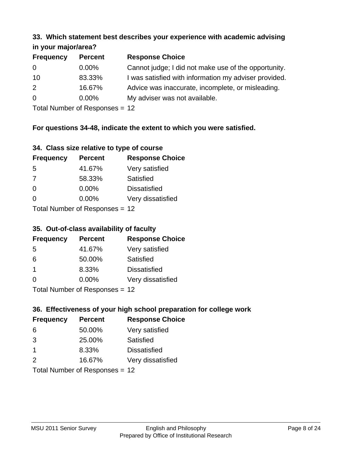#### **33. Which statement best describes your experience with academic advising in your major/area?**

| $\mathbf{u}$ yvu $\mathbf{u}$ yvu $\mathbf{v}$ |                |                                                       |
|------------------------------------------------|----------------|-------------------------------------------------------|
| <b>Frequency</b>                               | <b>Percent</b> | <b>Response Choice</b>                                |
| 0                                              | $0.00\%$       | Cannot judge; I did not make use of the opportunity.  |
| 10                                             | 83.33%         | I was satisfied with information my adviser provided. |
| 2                                              | 16.67%         | Advice was inaccurate, incomplete, or misleading.     |
| $\overline{0}$                                 | $0.00\%$       | My adviser was not available.                         |
|                                                |                |                                                       |

Total Number of Responses = 12

## **For questions 34-48, indicate the extent to which you were satisfied.**

| 34. Class size relative to type of course |  |  |  |  |  |  |  |  |
|-------------------------------------------|--|--|--|--|--|--|--|--|
|-------------------------------------------|--|--|--|--|--|--|--|--|

| <b>Frequency</b> | <b>Percent</b>                 | <b>Response Choice</b> |
|------------------|--------------------------------|------------------------|
| -5               | 41.67%                         | Very satisfied         |
| 7                | 58.33%                         | Satisfied              |
| $\Omega$         | $0.00\%$                       | <b>Dissatisfied</b>    |
| $\Omega$         | 0.00%                          | Very dissatisfied      |
|                  | Total Number of Recnonces - 12 |                        |

Total Number of Responses = 12

## **35. Out-of-class availability of faculty**

| <b>Frequency</b> | <b>Percent</b>            | <b>Response Choice</b> |
|------------------|---------------------------|------------------------|
| 5                | 41.67%                    | Very satisfied         |
| 6                | 50.00%                    | Satisfied              |
| $\overline{1}$   | 8.33%                     | <b>Dissatisfied</b>    |
| $\Omega$         | $0.00\%$                  | Very dissatisfied      |
|                  | Total Number of DoEROR 0. |                        |

I otal Number of Responses = 12

## **36. Effectiveness of your high school preparation for college work**

| <b>Frequency</b> | <b>Percent</b>                 | <b>Response Choice</b> |
|------------------|--------------------------------|------------------------|
| 6                | 50.00%                         | Very satisfied         |
| 3                | 25.00%                         | Satisfied              |
| $\mathbf 1$      | 8.33%                          | <b>Dissatisfied</b>    |
| 2                | 16.67%                         | Very dissatisfied      |
|                  | Total Number of Responses = 12 |                        |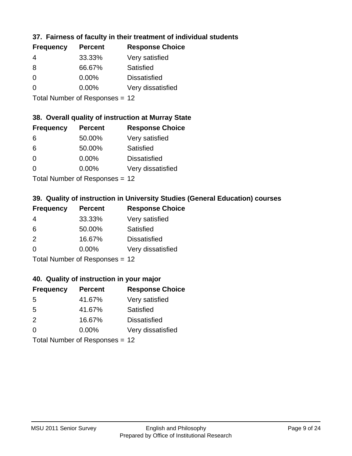## **37. Fairness of faculty in their treatment of individual students**

| <b>Frequency</b> | <b>Percent</b> | <b>Response Choice</b> |
|------------------|----------------|------------------------|
| 4                | 33.33%         | Very satisfied         |
| 8                | 66.67%         | Satisfied              |
| $\Omega$         | $0.00\%$       | <b>Dissatisfied</b>    |
| $\Omega$         | 0.00%          | Very dissatisfied      |
|                  |                |                        |

Total Number of Responses = 12

#### **38. Overall quality of instruction at Murray State**

| <b>Frequency</b> | <b>Percent</b> | <b>Response Choice</b> |
|------------------|----------------|------------------------|
| 6                | 50.00%         | Very satisfied         |
| 6                | 50.00%         | Satisfied              |
| $\Omega$         | 0.00%          | <b>Dissatisfied</b>    |
| $\Omega$         | 0.00%          | Very dissatisfied      |
|                  |                |                        |

Total Number of Responses = 12

## **39. Quality of instruction in University Studies (General Education) courses**

| <b>Frequency</b> | <b>Percent</b>            | <b>Response Choice</b> |
|------------------|---------------------------|------------------------|
| 4                | 33.33%                    | Very satisfied         |
| 6                | 50.00%                    | Satisfied              |
| $\mathcal{P}$    | 16.67%                    | <b>Dissatisfied</b>    |
| $\Omega$         | 0.00%                     | Very dissatisfied      |
|                  | Total Number of Deepensee |                        |

Total Number of Responses = 12

#### **40. Quality of instruction in your major**

| <b>Frequency</b> | <b>Percent</b> | <b>Response Choice</b> |
|------------------|----------------|------------------------|
| 5                | 41.67%         | Very satisfied         |
| 5                | 41.67%         | Satisfied              |
| $\mathcal{P}$    | 16.67%         | <b>Dissatisfied</b>    |
| $\Omega$         | $0.00\%$       | Very dissatisfied      |
|                  |                |                        |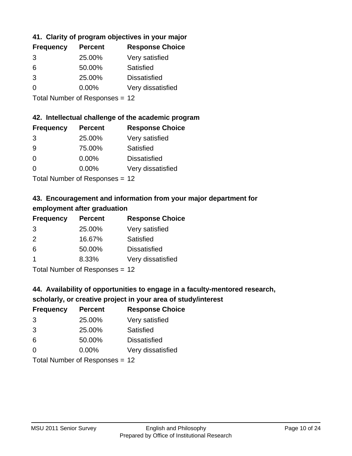## **41. Clarity of program objectives in your major**

| <b>Frequency</b> | <b>Percent</b> | <b>Response Choice</b> |
|------------------|----------------|------------------------|
| 3                | 25.00%         | Very satisfied         |
| 6                | 50.00%         | Satisfied              |
| $\mathcal{B}$    | 25.00%         | <b>Dissatisfied</b>    |
| O                | $0.00\%$       | Very dissatisfied      |
|                  |                |                        |

Total Number of Responses = 12

#### **42. Intellectual challenge of the academic program**

| <b>Frequency</b> | <b>Percent</b> | <b>Response Choice</b> |
|------------------|----------------|------------------------|
| 3                | 25.00%         | Very satisfied         |
| 9                | 75.00%         | Satisfied              |
| $\Omega$         | 0.00%          | <b>Dissatisfied</b>    |
| $\Omega$         | 0.00%          | Very dissatisfied      |
|                  |                |                        |

Total Number of Responses = 12

## **43. Encouragement and information from your major department for employment after graduation**

| <b>Frequency</b>     | <b>Percent</b>                         | <b>Response Choice</b> |
|----------------------|----------------------------------------|------------------------|
| 3                    | 25.00%                                 | Very satisfied         |
| 2                    | 16.67%                                 | Satisfied              |
| 6                    | 50.00%                                 | <b>Dissatisfied</b>    |
| $\blacktriangleleft$ | 8.33%                                  | Very dissatisfied      |
|                      | $\mathbf{r}$ . The set of $\mathbf{r}$ |                        |

Total Number of Responses = 12

## **44. Availability of opportunities to engage in a faculty-mentored research,**

## **scholarly, or creative project in your area of study/interest**

| <b>Frequency</b> | <b>Percent</b> | <b>Response Choice</b> |
|------------------|----------------|------------------------|
| 3                | 25.00%         | Very satisfied         |
| 3                | 25.00%         | Satisfied              |
| 6                | 50.00%         | <b>Dissatisfied</b>    |
| ∩                | 0.00%          | Very dissatisfied      |
|                  |                |                        |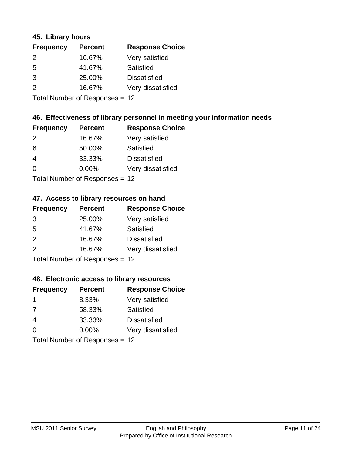#### **45. Library hours**

| <b>Frequency</b> | <b>Percent</b> | <b>Response Choice</b> |
|------------------|----------------|------------------------|
| 2                | 16.67%         | Very satisfied         |
| 5                | 41.67%         | Satisfied              |
| 3                | 25.00%         | <b>Dissatisfied</b>    |
| $\mathcal{P}$    | 16.67%         | Very dissatisfied      |
|                  |                |                        |

Total Number of Responses = 12

## **46. Effectiveness of library personnel in meeting your information needs**

| <b>Frequency</b> | <b>Percent</b> | <b>Response Choice</b> |
|------------------|----------------|------------------------|
| $\mathcal{P}$    | 16.67%         | Very satisfied         |
| 6                | 50.00%         | Satisfied              |
| 4                | 33.33%         | <b>Dissatisfied</b>    |
| ∩                | $0.00\%$       | Very dissatisfied      |
|                  |                |                        |

Total Number of Responses = 12

#### **47. Access to library resources on hand**

| <b>Frequency</b> | <b>Percent</b>             | <b>Response Choice</b> |
|------------------|----------------------------|------------------------|
| 3                | 25.00%                     | Very satisfied         |
| 5                | 41.67%                     | Satisfied              |
| 2                | 16.67%                     | <b>Dissatisfied</b>    |
| 2                | 16.67%                     | Very dissatisfied      |
|                  | Tetal Number of Desperance |                        |

Total Number of Responses = 12

#### **48. Electronic access to library resources**

| <b>Frequency</b> | <b>Percent</b>                 | <b>Response Choice</b> |
|------------------|--------------------------------|------------------------|
| -1               | 8.33%                          | Very satisfied         |
| 7                | 58.33%                         | Satisfied              |
| 4                | 33.33%                         | <b>Dissatisfied</b>    |
| $\Omega$         | $0.00\%$                       | Very dissatisfied      |
|                  | Total Number of Responses = 12 |                        |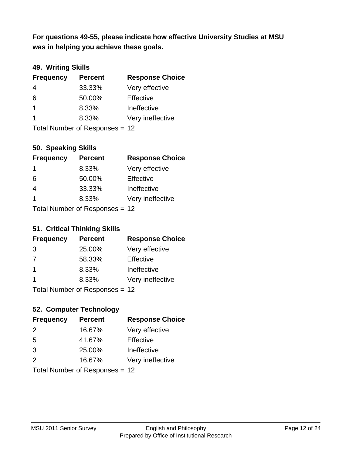**was in helping you achieve these goals. For questions 49-55, please indicate how effective University Studies at MSU** 

## **49. Writing Skills**

| <b>Frequency</b> | <b>Percent</b>                 | <b>Response Choice</b> |
|------------------|--------------------------------|------------------------|
| $\overline{4}$   | 33.33%                         | Very effective         |
| 6                | 50.00%                         | Effective              |
| $\overline{1}$   | 8.33%                          | Ineffective            |
| $\overline{1}$   | 8.33%                          | Very ineffective       |
|                  | Total Number of Responses = 12 |                        |

**50. Speaking Skills**

| <b>Frequency</b> | <b>Percent</b>                 | <b>Response Choice</b> |
|------------------|--------------------------------|------------------------|
| -1               | 8.33%                          | Very effective         |
| 6                | 50.00%                         | Effective              |
| 4                | 33.33%                         | Ineffective            |
| -1               | 8.33%                          | Very ineffective       |
|                  | Total Number of Recnonces - 12 |                        |

Total Number of Responses = 12

## **51. Critical Thinking Skills**

| <b>Frequency</b>        | <b>Percent</b>            | <b>Response Choice</b> |
|-------------------------|---------------------------|------------------------|
| 3                       | 25.00%                    | Very effective         |
| 7                       | 58.33%                    | Effective              |
| $\overline{\mathbf{1}}$ | 8.33%                     | Ineffective            |
|                         | 8.33%                     | Very ineffective       |
|                         | Total Number of Desponses |                        |

Total Number of Responses = 12

## **52. Computer Technology**

| <b>Frequency</b> | <b>Percent</b>                 | <b>Response Choice</b> |
|------------------|--------------------------------|------------------------|
| $\mathcal{P}$    | 16.67%                         | Very effective         |
| 5                | 41.67%                         | Effective              |
| 3                | 25.00%                         | Ineffective            |
| $\mathcal{P}$    | 16.67%                         | Very ineffective       |
|                  | Total Number of Responses = 12 |                        |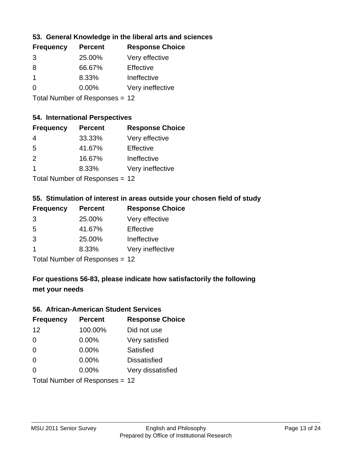## **53. General Knowledge in the liberal arts and sciences**

| <b>Frequency</b> | <b>Percent</b> | <b>Response Choice</b> |
|------------------|----------------|------------------------|
| 3                | 25.00%         | Very effective         |
| 8                | 66.67%         | Effective              |
|                  | 8.33%          | Ineffective            |
| $\Omega$         | 0.00%          | Very ineffective       |
|                  |                |                        |

Total Number of Responses = 12

## **54. International Perspectives**

| <b>Frequency</b> | <b>Percent</b> | <b>Response Choice</b> |
|------------------|----------------|------------------------|
| 4                | 33.33%         | Very effective         |
| -5               | 41.67%         | Effective              |
| $\mathcal{P}$    | 16.67%         | Ineffective            |
| -1               | 8.33%          | Very ineffective       |
|                  |                |                        |

Total Number of Responses = 12

#### **55. Stimulation of interest in areas outside your chosen field of study**

| <b>Frequency</b> | <b>Percent</b>            | <b>Response Choice</b> |
|------------------|---------------------------|------------------------|
| 3                | 25.00%                    | Very effective         |
| .5               | 41.67%                    | Effective              |
| 3                | 25.00%                    | Ineffective            |
|                  | 8.33%                     | Very ineffective       |
|                  | Total Number of Deepersoo |                        |

Total Number of Responses = 12

## **For questions 56-83, please indicate how satisfactorily the following met your needs**

#### **56. African-American Student Services**

| <b>Frequency</b> | <b>Percent</b>                 | <b>Response Choice</b> |
|------------------|--------------------------------|------------------------|
| 12               | 100.00%                        | Did not use            |
| $\Omega$         | 0.00%                          | Very satisfied         |
| $\Omega$         | 0.00%                          | Satisfied              |
| $\Omega$         | $0.00\%$                       | <b>Dissatisfied</b>    |
| $\Omega$         | 0.00%                          | Very dissatisfied      |
|                  | Total Number of Responses = 12 |                        |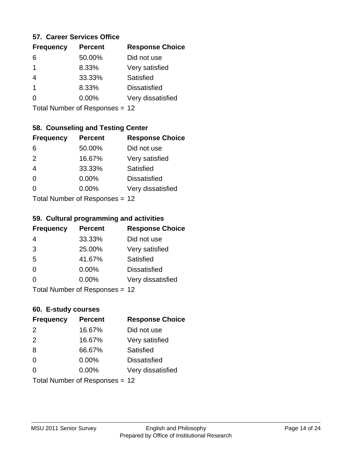#### **57. Career Services Office**

| <b>Frequency</b> | <b>Percent</b> | <b>Response Choice</b> |
|------------------|----------------|------------------------|
| 6                | 50.00%         | Did not use            |
| 1                | 8.33%          | Very satisfied         |
|                  | 33.33%         | Satisfied              |
| 1                | 8.33%          | <b>Dissatisfied</b>    |
|                  | $0.00\%$       | Very dissatisfied      |
|                  |                |                        |

Total Number of Responses = 12

## **58. Counseling and Testing Center**

| <b>Frequency</b> | <b>Percent</b>            | <b>Response Choice</b> |
|------------------|---------------------------|------------------------|
| 6                | 50.00%                    | Did not use            |
| 2                | 16.67%                    | Very satisfied         |
| $\overline{4}$   | 33.33%                    | Satisfied              |
| $\Omega$         | 0.00%                     | <b>Dissatisfied</b>    |
| ∩                | 0.00%                     | Very dissatisfied      |
|                  | Total Number of Desponses |                        |

Total Number of Responses = 12

#### **59. Cultural programming and activities**

| <b>Frequency</b> | <b>Percent</b>                   | <b>Response Choice</b> |
|------------------|----------------------------------|------------------------|
| 4                | 33.33%                           | Did not use            |
| 3                | 25.00%                           | Very satisfied         |
| 5                | 41.67%                           | Satisfied              |
| $\Omega$         | $0.00\%$                         | <b>Dissatisfied</b>    |
| $\Omega$         | $0.00\%$                         | Very dissatisfied      |
|                  | Total Number of Responses $= 12$ |                        |

| 60. E-study courses |                                |                        |  |
|---------------------|--------------------------------|------------------------|--|
| <b>Frequency</b>    | <b>Percent</b>                 | <b>Response Choice</b> |  |
| 2                   | 16.67%                         | Did not use            |  |
| 2                   | 16.67%                         | Very satisfied         |  |
| 8                   | 66.67%                         | Satisfied              |  |
| $\Omega$            | 0.00%                          | <b>Dissatisfied</b>    |  |
| $\Omega$            | $0.00\%$                       | Very dissatisfied      |  |
|                     | Total Number of Responses = 12 |                        |  |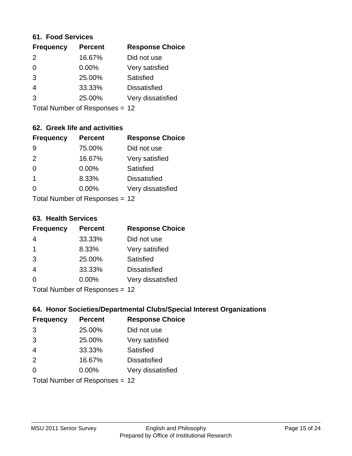#### **61. Food Services**

| <b>Frequency</b> | <b>Percent</b> | <b>Response Choice</b> |
|------------------|----------------|------------------------|
| $\mathcal{P}$    | 16.67%         | Did not use            |
| $\Omega$         | 0.00%          | Very satisfied         |
| 3                | 25.00%         | Satisfied              |
| 4                | 33.33%         | <b>Dissatisfied</b>    |
| 3                | 25.00%         | Very dissatisfied      |
|                  |                |                        |

Total Number of Responses = 12

## **62. Greek life and activities**

| <b>Frequency</b> | <b>Percent</b>                 | <b>Response Choice</b> |
|------------------|--------------------------------|------------------------|
| 9                | 75.00%                         | Did not use            |
| 2                | 16.67%                         | Very satisfied         |
| $\Omega$         | 0.00%                          | Satisfied              |
| 1                | 8.33%                          | <b>Dissatisfied</b>    |
| O                | $0.00\%$                       | Very dissatisfied      |
|                  | Total Number of Responses = 12 |                        |

#### **63. Health Services**

| <b>Frequency</b> | <b>Percent</b>            | <b>Response Choice</b> |
|------------------|---------------------------|------------------------|
| 4                | 33.33%                    | Did not use            |
| $\mathbf 1$      | 8.33%                     | Very satisfied         |
| 3                | 25.00%                    | <b>Satisfied</b>       |
| $\overline{4}$   | 33.33%                    | <b>Dissatisfied</b>    |
| $\Omega$         | $0.00\%$                  | Very dissatisfied      |
|                  | Total Number of Desponses |                        |

Total Number of Responses = 12

## **64. Honor Societies/Departmental Clubs/Special Interest Organizations**

| <b>Frequency</b> | <b>Percent</b>                 | <b>Response Choice</b> |
|------------------|--------------------------------|------------------------|
| 3                | 25.00%                         | Did not use            |
| 3                | 25.00%                         | Very satisfied         |
| $\overline{4}$   | 33.33%                         | Satisfied              |
| 2                | 16.67%                         | <b>Dissatisfied</b>    |
| $\Omega$         | 0.00%                          | Very dissatisfied      |
|                  | Total Number of Responses = 12 |                        |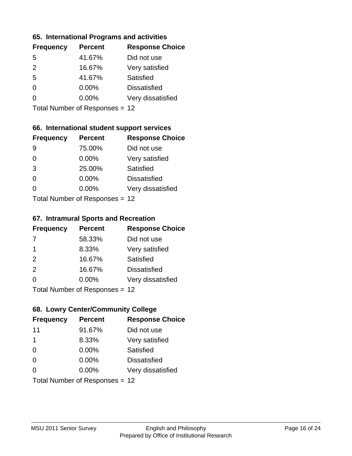#### **65. International Programs and activities**

| <b>Frequency</b> | <b>Percent</b> | <b>Response Choice</b> |
|------------------|----------------|------------------------|
| 5                | 41.67%         | Did not use            |
| $\mathcal{P}$    | 16.67%         | Very satisfied         |
| 5                | 41.67%         | Satisfied              |
| 0                | $0.00\%$       | <b>Dissatisfied</b>    |
|                  | $0.00\%$       | Very dissatisfied      |
|                  |                |                        |

Total Number of Responses = 12

## **66. International student support services**

| <b>Frequency</b> | <b>Percent</b>              | <b>Response Choice</b> |
|------------------|-----------------------------|------------------------|
| 9                | 75.00%                      | Did not use            |
| $\Omega$         | 0.00%                       | Very satisfied         |
| 3                | 25.00%                      | Satisfied              |
| $\Omega$         | 0.00%                       | <b>Dissatisfied</b>    |
| 0                | $0.00\%$                    | Very dissatisfied      |
|                  | Total Number of Despasses - |                        |

Total Number of Responses = 12

#### **67. Intramural Sports and Recreation**

| <b>Frequency</b> | <b>Percent</b>               | <b>Response Choice</b> |
|------------------|------------------------------|------------------------|
| 7                | 58.33%                       | Did not use            |
| $\mathbf 1$      | 8.33%                        | Very satisfied         |
| 2                | 16.67%                       | <b>Satisfied</b>       |
| 2                | 16.67%                       | <b>Dissatisfied</b>    |
| $\Omega$         | $0.00\%$                     | Very dissatisfied      |
|                  | $Total Number of Denonce 42$ |                        |

I otal Number of Responses = 12

## **68. Lowry Center/Community College**

| <b>Frequency</b> | <b>Percent</b>                 | <b>Response Choice</b> |
|------------------|--------------------------------|------------------------|
| 11               | 91.67%                         | Did not use            |
| 1                | 8.33%                          | Very satisfied         |
| $\Omega$         | 0.00%                          | Satisfied              |
| $\Omega$         | 0.00%                          | <b>Dissatisfied</b>    |
| $\Omega$         | $0.00\%$                       | Very dissatisfied      |
|                  | Total Number of Responses = 12 |                        |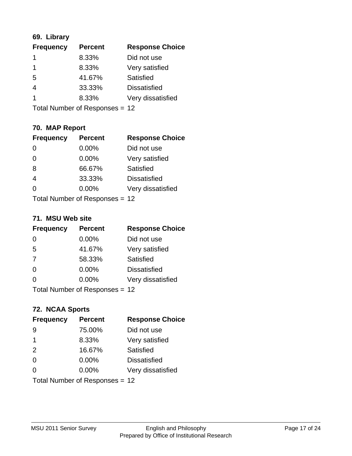## **69. Library**

| <b>Frequency</b> | <b>Percent</b> | <b>Response Choice</b> |
|------------------|----------------|------------------------|
|                  | 8.33%          | Did not use            |
| 1                | 8.33%          | Very satisfied         |
| 5                | 41.67%         | Satisfied              |
| 4                | 33.33%         | <b>Dissatisfied</b>    |
|                  | 8.33%          | Very dissatisfied      |
|                  |                |                        |

Total Number of Responses = 12

## **70. MAP Report**

| <b>Frequency</b> | <b>Percent</b>                 | <b>Response Choice</b> |
|------------------|--------------------------------|------------------------|
|                  | 0.00%                          | Did not use            |
|                  | 0.00%                          | Very satisfied         |
| 8                | 66.67%                         | Satisfied              |
| 4                | 33.33%                         | <b>Dissatisfied</b>    |
|                  | $0.00\%$                       | Very dissatisfied      |
|                  | Total Number of Responses = 12 |                        |

#### **71. MSU Web site**

| <b>Frequency</b> | <b>Percent</b>                 | <b>Response Choice</b> |
|------------------|--------------------------------|------------------------|
| $\Omega$         | $0.00\%$                       | Did not use            |
| 5                | 41.67%                         | Very satisfied         |
| 7                | 58.33%                         | Satisfied              |
| $\Omega$         | 0.00%                          | <b>Dissatisfied</b>    |
| $\Omega$         | 0.00%                          | Very dissatisfied      |
|                  | Total Number of Responses = 12 |                        |

## **72. NCAA Sports**

| <b>Frequency</b> | <b>Percent</b>                 | <b>Response Choice</b> |
|------------------|--------------------------------|------------------------|
| -9               | 75.00%                         | Did not use            |
| 1                | 8.33%                          | Very satisfied         |
| 2                | 16.67%                         | Satisfied              |
| $\Omega$         | 0.00%                          | <b>Dissatisfied</b>    |
| ∩                | $0.00\%$                       | Very dissatisfied      |
|                  | Total Number of Responses = 12 |                        |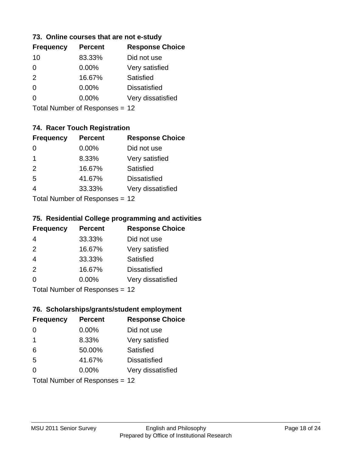## **73. Online courses that are not e-study**

| <b>Frequency</b> | <b>Percent</b> | <b>Response Choice</b> |
|------------------|----------------|------------------------|
| 10               | 83.33%         | Did not use            |
| 0                | $0.00\%$       | Very satisfied         |
| 2                | 16.67%         | Satisfied              |
| 0                | $0.00\%$       | <b>Dissatisfied</b>    |
|                  | $0.00\%$       | Very dissatisfied      |
|                  |                |                        |

Total Number of Responses = 12

## **74. Racer Touch Registration**

| <b>Frequency</b>            | <b>Percent</b> | <b>Response Choice</b> |
|-----------------------------|----------------|------------------------|
| 0                           | $0.00\%$       | Did not use            |
| 1                           | 8.33%          | Very satisfied         |
| 2                           | 16.67%         | <b>Satisfied</b>       |
| 5                           | 41.67%         | <b>Dissatisfied</b>    |
| $\overline{4}$              | 33.33%         | Very dissatisfied      |
| Total Number of Despesses - |                |                        |

Total Number of Responses = 12

## **75. Residential College programming and activities**

| <b>Frequency</b>          | <b>Percent</b> | <b>Response Choice</b> |
|---------------------------|----------------|------------------------|
| 4                         | 33.33%         | Did not use            |
| 2                         | 16.67%         | Very satisfied         |
| $\overline{4}$            | 33.33%         | Satisfied              |
| 2                         | 16.67%         | <b>Dissatisfied</b>    |
| $\Omega$                  | 0.00%          | Very dissatisfied      |
| Total Number of Desponses |                |                        |

Total Number of Responses = 12

#### **76. Scholarships/grants/student employment**

| <b>Frequency</b>               | <b>Percent</b> | <b>Response Choice</b> |
|--------------------------------|----------------|------------------------|
| 0                              | 0.00%          | Did not use            |
| $\overline{1}$                 | 8.33%          | Very satisfied         |
| 6                              | 50.00%         | Satisfied              |
| 5                              | 41.67%         | <b>Dissatisfied</b>    |
| 0                              | 0.00%          | Very dissatisfied      |
| Total Number of Responses = 12 |                |                        |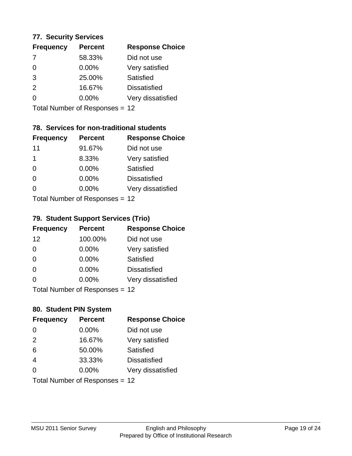#### **77. Security Services**

| <b>Frequency</b> | <b>Percent</b> | <b>Response Choice</b> |
|------------------|----------------|------------------------|
| 7                | 58.33%         | Did not use            |
| $\Omega$         | 0.00%          | Very satisfied         |
| 3                | 25.00%         | Satisfied              |
| $\mathcal{P}$    | 16.67%         | <b>Dissatisfied</b>    |
| 0                | $0.00\%$       | Very dissatisfied      |
|                  |                |                        |

Total Number of Responses = 12

## **78. Services for non-traditional students**

| <b>Frequency</b>          | <b>Percent</b> | <b>Response Choice</b> |
|---------------------------|----------------|------------------------|
| 11                        | 91.67%         | Did not use            |
| 1                         | 8.33%          | Very satisfied         |
| $\Omega$                  | $0.00\%$       | Satisfied              |
| $\Omega$                  | 0.00%          | <b>Dissatisfied</b>    |
| ∩                         | 0.00%          | Very dissatisfied      |
| Total Number of Desponses |                |                        |

Total Number of Responses = 12

## **79. Student Support Services (Trio)**

| <b>Frequency</b>                | <b>Percent</b> | <b>Response Choice</b> |
|---------------------------------|----------------|------------------------|
| 12                              | 100.00%        | Did not use            |
| $\Omega$                        | $0.00\%$       | Very satisfied         |
| $\Omega$                        | $0.00\%$       | Satisfied              |
| $\Omega$                        | 0.00%          | <b>Dissatisfied</b>    |
| $\Omega$                        | $0.00\%$       | Very dissatisfied      |
| $Total Number of Denonose = 12$ |                |                        |

I otal Number of Responses = 12

## **80. Student PIN System**

| <b>Frequency</b> | <b>Percent</b>                 | <b>Response Choice</b> |
|------------------|--------------------------------|------------------------|
| $\Omega$         | 0.00%                          | Did not use            |
| 2                | 16.67%                         | Very satisfied         |
| 6                | 50.00%                         | Satisfied              |
| $\overline{4}$   | 33.33%                         | <b>Dissatisfied</b>    |
| $\Omega$         | 0.00%                          | Very dissatisfied      |
|                  | Total Number of Responses = 12 |                        |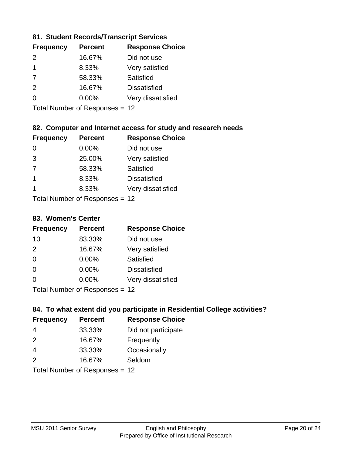## **81. Student Records/Transcript Services**

| <b>Percent</b> | <b>Response Choice</b> |
|----------------|------------------------|
| 16.67%         | Did not use            |
| 8.33%          | Very satisfied         |
| 58.33%         | Satisfied              |
| 16.67%         | <b>Dissatisfied</b>    |
| $0.00\%$       | Very dissatisfied      |
|                |                        |

Total Number of Responses = 12

## **82. Computer and Internet access for study and research needs**

| <b>Frequency</b> | <b>Percent</b>            | <b>Response Choice</b> |
|------------------|---------------------------|------------------------|
| 0                | 0.00%                     | Did not use            |
| 3                | 25.00%                    | Very satisfied         |
| 7                | 58.33%                    | Satisfied              |
| -1               | 8.33%                     | <b>Dissatisfied</b>    |
| 1                | 8.33%                     | Very dissatisfied      |
|                  | Total Number of Deepensee |                        |

Total Number of Responses = 12

#### **83. Women's Center**

| <b>Frequency</b>          | <b>Percent</b> | <b>Response Choice</b> |
|---------------------------|----------------|------------------------|
| 10                        | 83.33%         | Did not use            |
| 2                         | 16.67%         | Very satisfied         |
| $\Omega$                  | $0.00\%$       | Satisfied              |
| $\Omega$                  | $0.00\%$       | <b>Dissatisfied</b>    |
| ∩                         | 0.00%          | Very dissatisfied      |
| Total Number of Desponses |                |                        |

Total Number of Responses = 12

## **84. To what extent did you participate in Residential College activities?**

| <b>Frequency</b> | <b>Percent</b>             | <b>Response Choice</b> |
|------------------|----------------------------|------------------------|
| 4                | 33.33%                     | Did not participate    |
| $\mathcal{P}$    | 16.67%                     | Frequently             |
| 4                | 33.33%                     | Occasionally           |
| $\mathcal{P}$    | 16.67%                     | Seldom                 |
|                  | Tatal Manakan af Dagmanage |                        |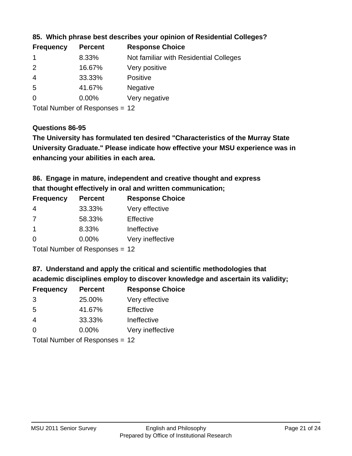| <b>Frequency</b> | <b>Percent</b> | <b>Response Choice</b>                 |
|------------------|----------------|----------------------------------------|
|                  | 8.33%          | Not familiar with Residential Colleges |
| $\overline{2}$   | 16.67%         | Very positive                          |
| -4               | 33.33%         | <b>Positive</b>                        |
| -5               | 41.67%         | <b>Negative</b>                        |
| 0                | $0.00\%$       | Very negative                          |
|                  |                |                                        |

## **85. Which phrase best describes your opinion of Residential Colleges?**

Total Number of Responses = 12

#### **Questions 86-95**

**University Graduate." Please indicate how effective your MSU experience was in The University has formulated ten desired "Characteristics of the Murray State enhancing your abilities in each area.**

**86. Engage in mature, independent and creative thought and express that thought effectively in oral and written communication;**

| <b>Percent</b> | <b>Response Choice</b> |
|----------------|------------------------|
| 33.33%         | Very effective         |
| 58.33%         | Effective              |
| 8.33%          | Ineffective            |
| $0.00\%$       | Very ineffective       |
|                |                        |

Total Number of Responses = 12

**87. Understand and apply the critical and scientific methodologies that** 

**academic disciplines employ to discover knowledge and ascertain its validity;**

| <b>Frequency</b> | <b>Percent</b> | <b>Response Choice</b> |
|------------------|----------------|------------------------|
| 3                | 25.00%         | Very effective         |
| .5               | 41.67%         | Effective              |
| 4                | 33.33%         | Ineffective            |
| $\Omega$         | 0.00%          | Very ineffective       |
|                  |                |                        |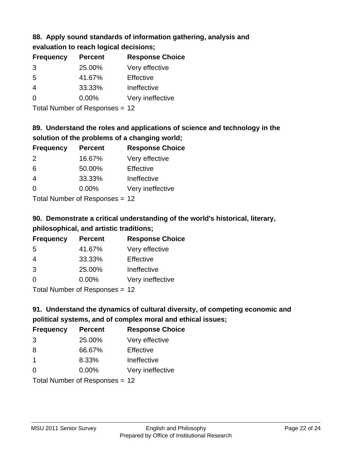## **88. Apply sound standards of information gathering, analysis and evaluation to reach logical decisions;**

| <b>Frequency</b> | <b>Percent</b> | <b>Response Choice</b> |
|------------------|----------------|------------------------|
| 3                | 25.00%         | Very effective         |
| 5                | 41.67%         | Effective              |
| $\overline{4}$   | 33.33%         | Ineffective            |
| $\Omega$         | 0.00%          | Very ineffective       |
|                  |                |                        |

Total Number of Responses = 12

## **89. Understand the roles and applications of science and technology in the solution of the problems of a changing world;**

| <b>Frequency</b>           | <b>Percent</b> | <b>Response Choice</b> |
|----------------------------|----------------|------------------------|
| $\mathcal{P}$              | 16.67%         | Very effective         |
| 6                          | 50.00%         | Effective              |
| $\overline{4}$             | 33.33%         | Ineffective            |
| $\Omega$                   | 0.00%          | Very ineffective       |
| Tatal Number of Desperance |                |                        |

Total Number of Responses = 12

## **90. Demonstrate a critical understanding of the world's historical, literary, philosophical, and artistic traditions;**

| <b>Frequency</b> | <b>Percent</b> | <b>Response Choice</b> |
|------------------|----------------|------------------------|
| 5                | 41.67%         | Very effective         |
| 4                | 33.33%         | Effective              |
| 3                | 25.00%         | Ineffective            |
| $\Omega$         | 0.00%          | Very ineffective       |
|                  |                |                        |

Total Number of Responses = 12

## **91. Understand the dynamics of cultural diversity, of competing economic and political systems, and of complex moral and ethical issues;**

| <b>Frequency</b> | <b>Percent</b>                 | <b>Response Choice</b> |
|------------------|--------------------------------|------------------------|
| 3                | 25.00%                         | Very effective         |
| 8                | 66.67%                         | Effective              |
| $\mathbf 1$      | 8.33%                          | Ineffective            |
| $\Omega$         | 0.00%                          | Very ineffective       |
|                  | Total Number of Responses = 12 |                        |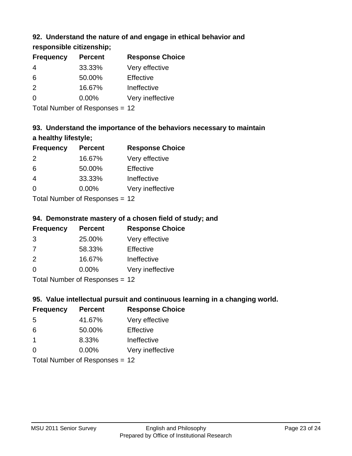## **92. Understand the nature of and engage in ethical behavior and**

**responsible citizenship;**

| <b>Frequency</b> | <b>Percent</b> | <b>Response Choice</b> |
|------------------|----------------|------------------------|
| 4                | 33.33%         | Very effective         |
| 6                | 50.00%         | Effective              |
| $\mathcal{P}$    | 16.67%         | Ineffective            |
| $\Omega$         | $0.00\%$       | Very ineffective       |
|                  |                |                        |

Total Number of Responses = 12

## **93. Understand the importance of the behaviors necessary to maintain a healthy lifestyle;**

| <b>Frequency</b>          | <b>Percent</b> | <b>Response Choice</b> |
|---------------------------|----------------|------------------------|
| $\mathcal{P}$             | 16.67%         | Very effective         |
| 6                         | 50.00%         | Effective              |
| $\overline{4}$            | 33.33%         | Ineffective            |
| $\Omega$                  | 0.00%          | Very ineffective       |
| Total Number of Desponses |                |                        |

Total Number of Responses = 12

## **94. Demonstrate mastery of a chosen field of study; and**

| <b>Frequency</b> | <b>Percent</b> | <b>Response Choice</b> |
|------------------|----------------|------------------------|
| 3                | 25.00%         | Very effective         |
| 7                | 58.33%         | Effective              |
| $\mathcal{P}$    | 16.67%         | Ineffective            |
| $\Omega$         | $0.00\%$       | Very ineffective       |
|                  |                |                        |

Total Number of Responses = 12

## **95. Value intellectual pursuit and continuous learning in a changing world.**

| <b>Frequency</b>          | <b>Percent</b> | <b>Response Choice</b> |
|---------------------------|----------------|------------------------|
| 5                         | 41.67%         | Very effective         |
| 6                         | 50.00%         | Effective              |
| -1                        | 8.33%          | Ineffective            |
| $\Omega$                  | 0.00%          | Very ineffective       |
| Total Number of Deepensee |                |                        |